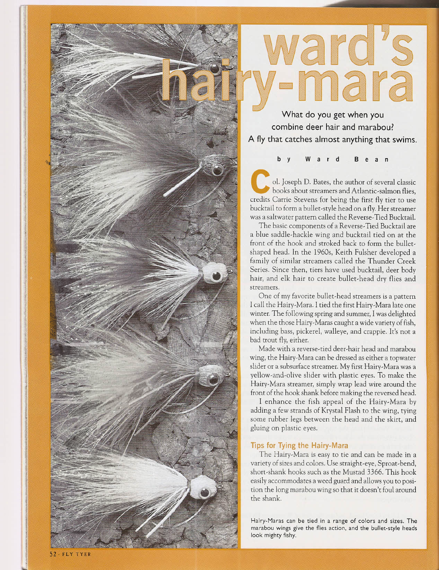## ward 's -mara

**What do you get when you combine deer hair and marabou? A fly that catches almost anything that swims.**

b Y War d B e a n

ol. Joseph D. Bates, the author of several classic books about streamers and Atlantic-salmon flies, credits Carrie Stevens for being the first fly tier to use bucktail to form a bullet-style head on a fly. Her streamer was a saltwater pattern called the Reverse-Tied Bucktail.

The basic components of a Reverse-Tied Bucktail are a blue saddle-hackle wing and bucktail tied on at the front of the hook and stroked back to form the bulletshaped head. In the 1960s, Keith Fulsher developed a family of similar streamers called the Thunder Creek Series. Since then, tiers have used bucktail, deer body hair, and elk hair to create bullet-head dry flies and streamers.

One of my favorite bullet-head streamers is a pattern I call the Hairy-Mara. I tied the first Hairy-Mara late one winter. The following spring and summer, I was delighted when the those Hairy-Maras caught a wide variety of fish, including bass, pickerel, walleye, and crappie. It's not a bad trout fly, either.

Made with a reverse-tied deer-hair head and marabou wing, the Hairy-Mara can be dressed as either a topwater slider or a subsurface streamer. My first Hairy-Mara was a yellow-and-olive slider with plastic eyes. To make the Hairy-Mara streamer, simply wrap lead wire around the front of the hook shank before making the reversed head.

I enhance the fish appeal of the Hairy-Mara by adding a few strands of Krystal Flash to the wing, tying some rubber legs between the head and the skirt, and gluing on plastic eyes.

## **Tips for Tying the Hairy-Mara**

The Hairy-Mara is easy to tie and can be made in a variety of sizes and colors. Use straight-eye, Sproat-bend, short-shank hooks such as the Mustad 3366. This hook easily accommodates a weed guard and allows you to position the long marabou wing so that it doesn't foul around the shank.

Hairy-Maras can be tied in a range of colors and sizes. **The** marabou wings give the flies action, and the bullet-style heads look mighty fishy.

FLY TYER